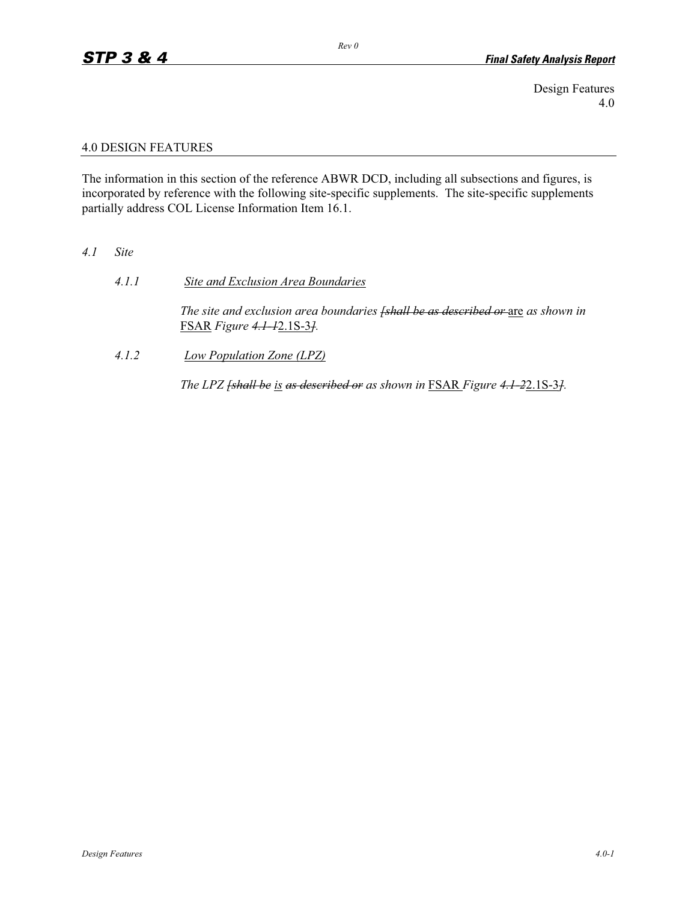Design Features 4.0

## 4.0 DESIGN FEATURES

The information in this section of the reference ABWR DCD, including all subsections and figures, is incorporated by reference with the following site-specific supplements. The site-specific supplements partially address COL License Information Item 16.1.

## *4.1 Site*

*4.1.1 Site and Exclusion Area Boundaries*

*The site and exclusion area boundaries <del>[shall be as described or are</del> as shown in* FSAR *Figure 4.1-1*2.1S-3*].*

*4.1.2 Low Population Zone (LPZ)*

*The LPZ <del>[shall be is as described or</del> as shown in FSAR Figure 4.1-22.1S-31.*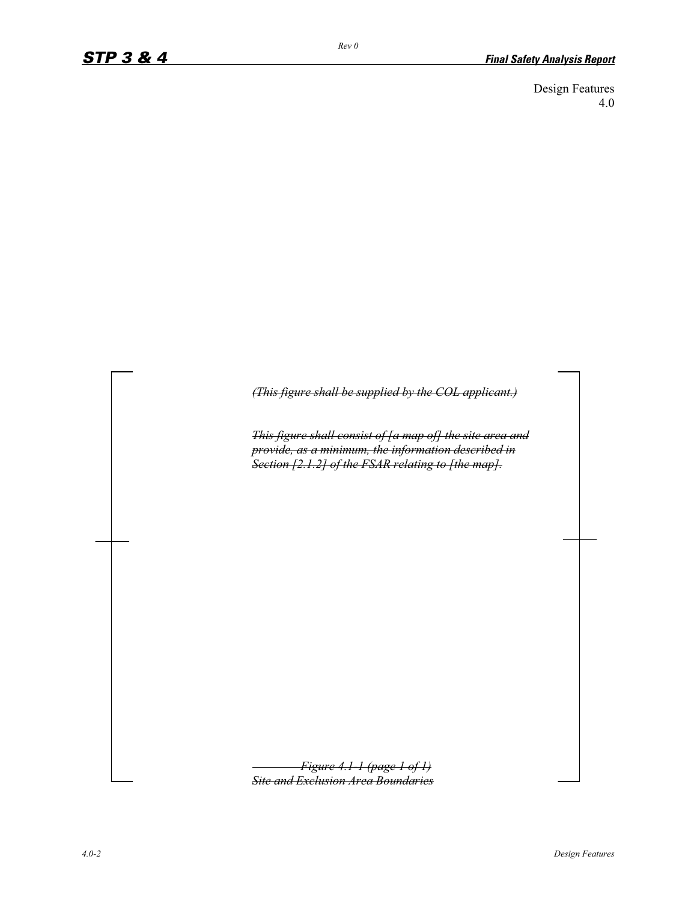Design Features 4.0

*(This figure shall be supplied by the COL applicant.)*

*This figure shall consist of [a map of] the site area and provide, as a minimum, the information described in Section [2.1.2] of the FSAR relating to [the map].*

*Figure 4.1-1 (page 1 of 1) Site and Exclusion Area Boundaries*